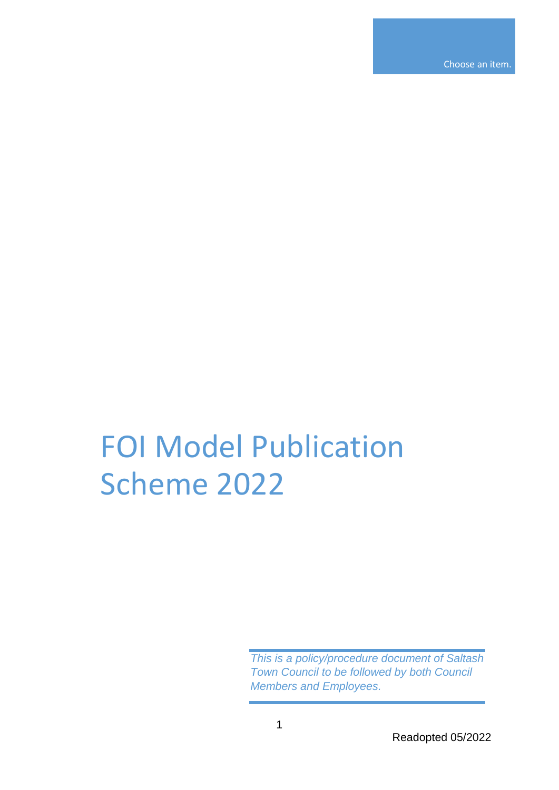Choose an item.

## FOI Model Publication Scheme 2022

*This is a policy/procedure document of Saltash Town Council to be followed by both Council Members and Employees.*

Readopted 05/2022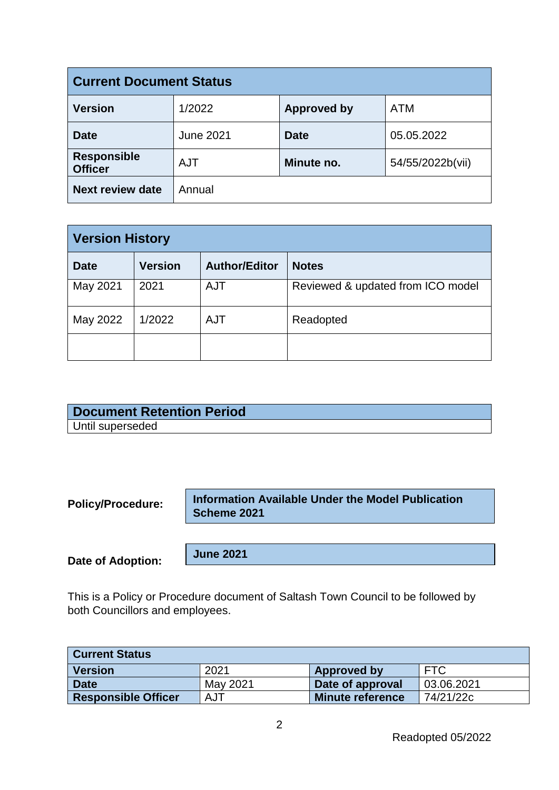| <b>Current Document Status</b>       |                  |                    |                  |
|--------------------------------------|------------------|--------------------|------------------|
| <b>Version</b>                       | 1/2022           | <b>Approved by</b> | <b>ATM</b>       |
| <b>Date</b>                          | <b>June 2021</b> | <b>Date</b>        | 05.05.2022       |
| <b>Responsible</b><br><b>Officer</b> | <b>AJT</b>       | Minute no.         | 54/55/2022b(vii) |
| <b>Next review date</b>              | Annual           |                    |                  |

| <b>Version History</b> |                |                      |                                   |
|------------------------|----------------|----------------------|-----------------------------------|
| <b>Date</b>            | <b>Version</b> | <b>Author/Editor</b> | <b>Notes</b>                      |
| May 2021               | 2021           | <b>AJT</b>           | Reviewed & updated from ICO model |
| May 2022               | 1/2022         | <b>AJT</b>           | Readopted                         |
|                        |                |                      |                                   |

| <b>Document Retention Period</b> |
|----------------------------------|
| Until superseded                 |

**Policy/Procedure:** 

**Information Available Under the Model Publication Scheme 2021** 

**Date of Adoption:**

**June 2021**

This is a Policy or Procedure document of Saltash Town Council to be followed by both Councillors and employees.

| <b>Current Status</b>                               |          |                         |            |  |
|-----------------------------------------------------|----------|-------------------------|------------|--|
| <b>Version</b><br><b>FTC</b><br>2021<br>Approved by |          |                         |            |  |
| <b>Date</b>                                         | May 2021 | Date of approval        | 03.06.2021 |  |
| <b>Responsible Officer</b>                          | AJT      | <b>Minute reference</b> | 74/21/22c  |  |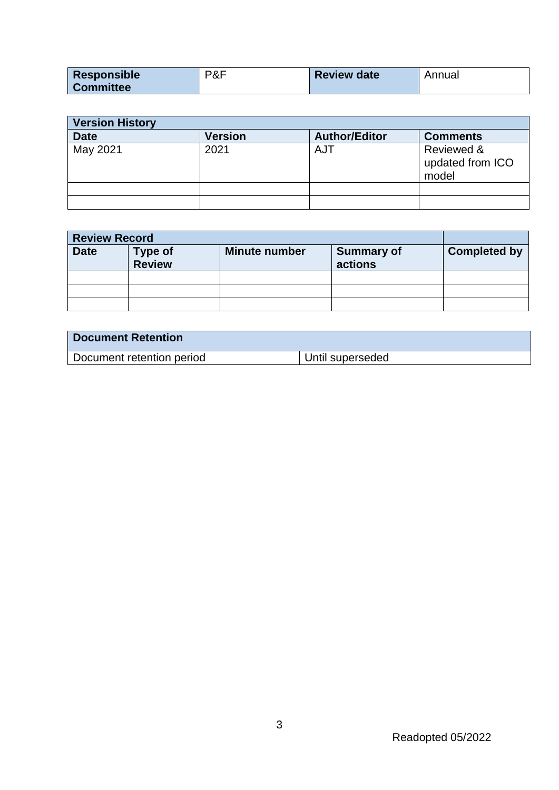| Responsible      | P&F | <b>Review date</b> | Annual |
|------------------|-----|--------------------|--------|
| <b>Committee</b> |     |                    |        |

| <b>Version History</b> |                |                      |                                         |  |
|------------------------|----------------|----------------------|-----------------------------------------|--|
| <b>Date</b>            | <b>Version</b> | <b>Author/Editor</b> | <b>Comments</b>                         |  |
| May 2021               | 2021           | AJT                  | Reviewed &<br>updated from ICO<br>model |  |
|                        |                |                      |                                         |  |
|                        |                |                      |                                         |  |

| <b>Review Record</b> |                          |                      |                              |                     |
|----------------------|--------------------------|----------------------|------------------------------|---------------------|
| <b>Date</b>          | Type of<br><b>Review</b> | <b>Minute number</b> | <b>Summary of</b><br>actions | <b>Completed by</b> |
|                      |                          |                      |                              |                     |
|                      |                          |                      |                              |                     |
|                      |                          |                      |                              |                     |

| <b>Document Retention</b> |                  |
|---------------------------|------------------|
| Document retention period | Until superseded |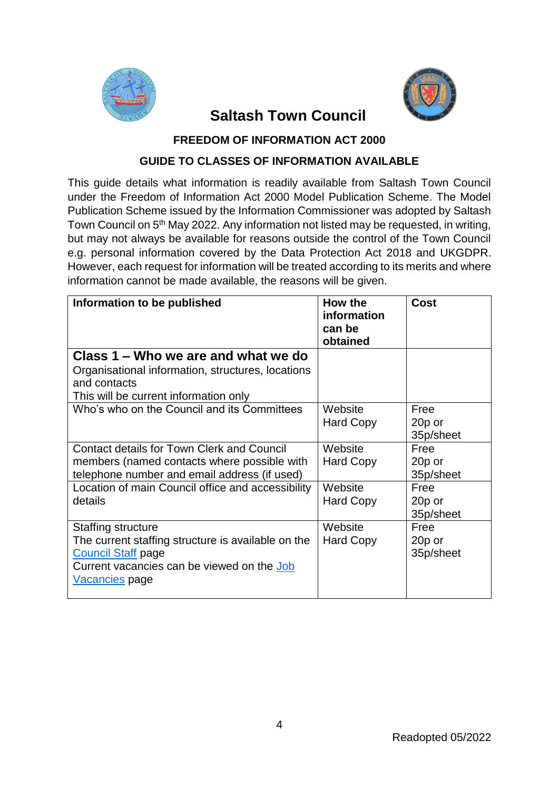



## **Saltash Town Council**

**FREEDOM OF INFORMATION ACT 2000**

## **GUIDE TO CLASSES OF INFORMATION AVAILABLE**

This guide details what information is readily available from Saltash Town Council under the Freedom of Information Act 2000 Model Publication Scheme. The Model Publication Scheme issued by the Information Commissioner was adopted by Saltash Town Council on 5<sup>th</sup> May 2022. Any information not listed may be requested, in writing, but may not always be available for reasons outside the control of the Town Council e.g. personal information covered by the Data Protection Act 2018 and UKGDPR. However, each request for information will be treated according to its merits and where information cannot be made available, the reasons will be given.

| Information to be published                                                                                                                                                  | How the<br>information<br>can be<br>obtained | Cost                        |
|------------------------------------------------------------------------------------------------------------------------------------------------------------------------------|----------------------------------------------|-----------------------------|
| Class 1 – Who we are and what we do<br>Organisational information, structures, locations<br>and contacts<br>This will be current information only                            |                                              |                             |
| Who's who on the Council and its Committees                                                                                                                                  | Website<br><b>Hard Copy</b>                  | Free<br>20p or<br>35p/sheet |
| <b>Contact details for Town Clerk and Council</b><br>members (named contacts where possible with<br>telephone number and email address (if used)                             | Website<br>Hard Copy                         | Free<br>20p or<br>35p/sheet |
| Location of main Council office and accessibility<br>details                                                                                                                 | Website<br><b>Hard Copy</b>                  | Free<br>20p or<br>35p/sheet |
| Staffing structure<br>The current staffing structure is available on the<br><b>Council Staff page</b><br>Current vacancies can be viewed on the Job<br><u>Vacancies</u> page | Website<br><b>Hard Copy</b>                  | Free<br>20p or<br>35p/sheet |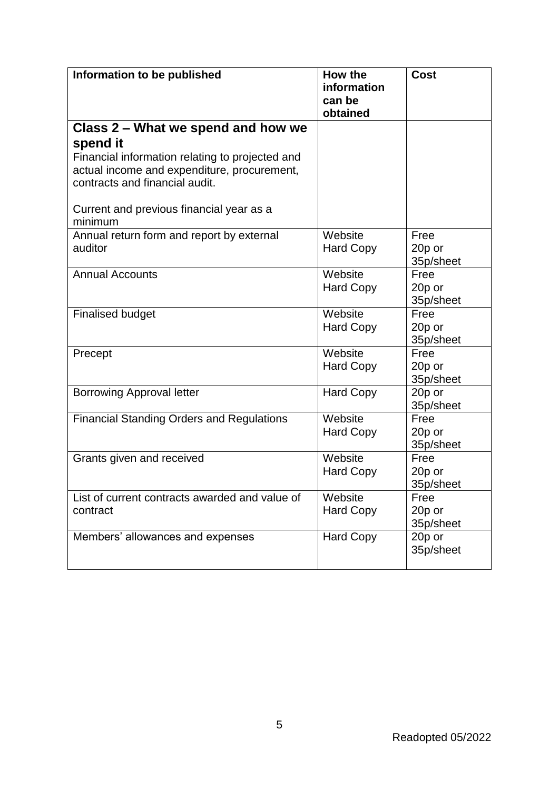| Information to be published                                                   | How the<br>information<br>can be<br>obtained | <b>Cost</b> |
|-------------------------------------------------------------------------------|----------------------------------------------|-------------|
| Class 2 – What we spend and how we                                            |                                              |             |
| spend it                                                                      |                                              |             |
| Financial information relating to projected and                               |                                              |             |
| actual income and expenditure, procurement,<br>contracts and financial audit. |                                              |             |
| Current and previous financial year as a<br>minimum                           |                                              |             |
| Annual return form and report by external                                     | Website                                      | Free        |
| auditor                                                                       | <b>Hard Copy</b>                             | 20p or      |
|                                                                               |                                              | 35p/sheet   |
| <b>Annual Accounts</b>                                                        | Website                                      | Free        |
|                                                                               | <b>Hard Copy</b>                             | 20p or      |
|                                                                               |                                              | 35p/sheet   |
| <b>Finalised budget</b>                                                       | Website                                      | Free        |
|                                                                               | <b>Hard Copy</b>                             | 20p or      |
|                                                                               |                                              | 35p/sheet   |
| Precept                                                                       | Website                                      | Free        |
|                                                                               | <b>Hard Copy</b>                             | 20p or      |
|                                                                               |                                              | 35p/sheet   |
| <b>Borrowing Approval letter</b>                                              | <b>Hard Copy</b>                             | 20p or      |
|                                                                               |                                              | 35p/sheet   |
| <b>Financial Standing Orders and Regulations</b>                              | Website                                      | Free        |
|                                                                               | <b>Hard Copy</b>                             | 20p or      |
|                                                                               |                                              | 35p/sheet   |
| Grants given and received                                                     | Website                                      | Free        |
|                                                                               | <b>Hard Copy</b>                             | 20p or      |
|                                                                               |                                              | 35p/sheet   |
| List of current contracts awarded and value of                                | Website                                      | Free        |
| contract                                                                      | <b>Hard Copy</b>                             | 20p or      |
|                                                                               |                                              | 35p/sheet   |
| Members' allowances and expenses                                              | <b>Hard Copy</b>                             | 20p or      |
|                                                                               |                                              | 35p/sheet   |
|                                                                               |                                              |             |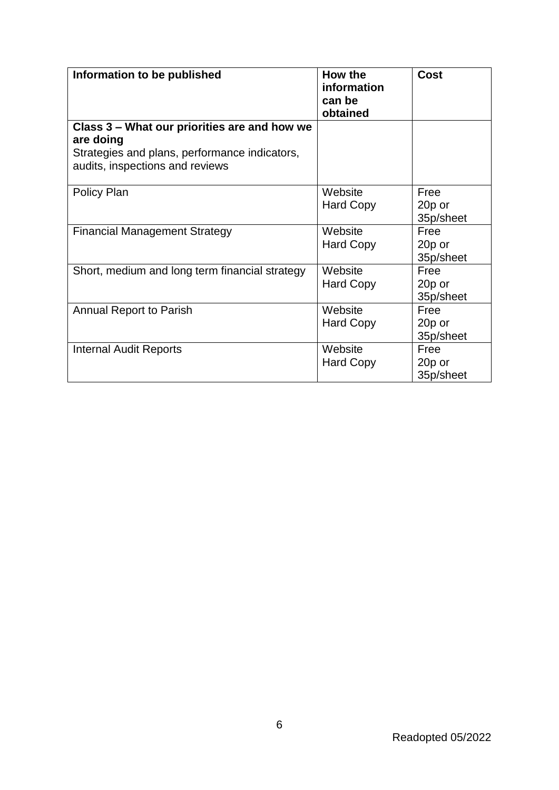| Information to be published                                                                                                                   | How the<br>information<br>can be<br>obtained | <b>Cost</b>                 |
|-----------------------------------------------------------------------------------------------------------------------------------------------|----------------------------------------------|-----------------------------|
| Class 3 – What our priorities are and how we<br>are doing<br>Strategies and plans, performance indicators,<br>audits, inspections and reviews |                                              |                             |
| Policy Plan                                                                                                                                   | Website<br><b>Hard Copy</b>                  | Free<br>20p or<br>35p/sheet |
| <b>Financial Management Strategy</b>                                                                                                          | Website<br><b>Hard Copy</b>                  | Free<br>20p or<br>35p/sheet |
| Short, medium and long term financial strategy                                                                                                | Website<br><b>Hard Copy</b>                  | Free<br>20p or<br>35p/sheet |
| <b>Annual Report to Parish</b>                                                                                                                | Website<br><b>Hard Copy</b>                  | Free<br>20p or<br>35p/sheet |
| <b>Internal Audit Reports</b>                                                                                                                 | Website<br><b>Hard Copy</b>                  | Free<br>20p or<br>35p/sheet |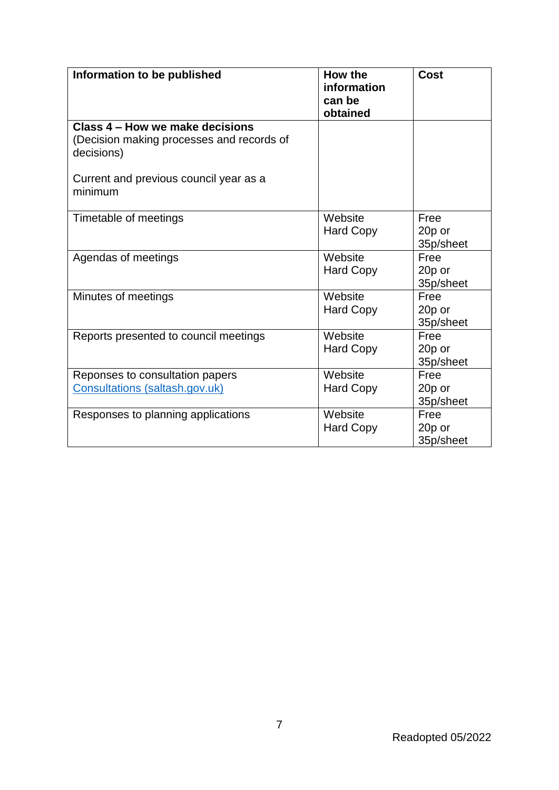| Information to be published                                                                | How the<br>information<br>can be<br>obtained | <b>Cost</b>                 |
|--------------------------------------------------------------------------------------------|----------------------------------------------|-----------------------------|
| Class 4 – How we make decisions<br>(Decision making processes and records of<br>decisions) |                                              |                             |
| Current and previous council year as a<br>minimum                                          |                                              |                             |
| Timetable of meetings                                                                      | Website<br><b>Hard Copy</b>                  | Free<br>20p or<br>35p/sheet |
| Agendas of meetings                                                                        | Website<br><b>Hard Copy</b>                  | Free<br>20p or<br>35p/sheet |
| Minutes of meetings                                                                        | Website<br><b>Hard Copy</b>                  | Free<br>20p or<br>35p/sheet |
| Reports presented to council meetings                                                      | Website<br><b>Hard Copy</b>                  | Free<br>20p or<br>35p/sheet |
| Reponses to consultation papers<br>Consultations (saltash.gov.uk)                          | Website<br><b>Hard Copy</b>                  | Free<br>20p or<br>35p/sheet |
| Responses to planning applications                                                         | Website<br><b>Hard Copy</b>                  | Free<br>20p or<br>35p/sheet |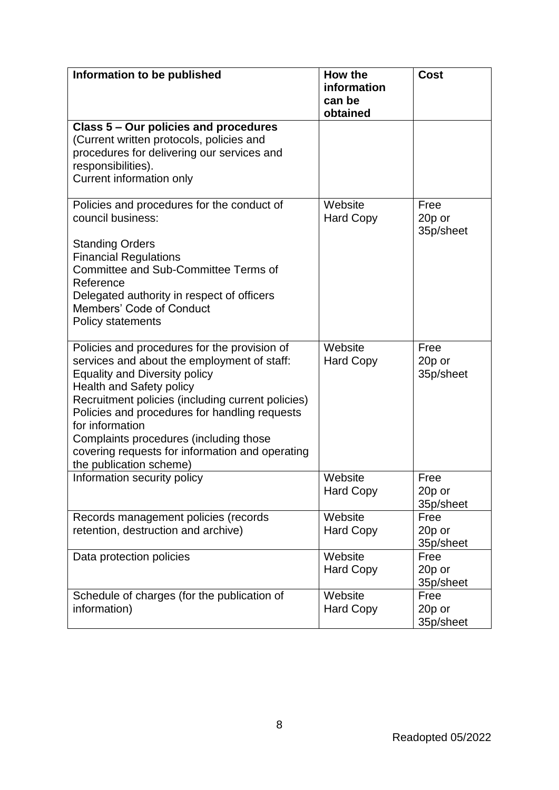| Information to be published                                                                                                                                                                                                                                                                                                                                                                                             | How the<br>information<br>can be<br>obtained | <b>Cost</b>                 |
|-------------------------------------------------------------------------------------------------------------------------------------------------------------------------------------------------------------------------------------------------------------------------------------------------------------------------------------------------------------------------------------------------------------------------|----------------------------------------------|-----------------------------|
| Class 5 - Our policies and procedures<br>(Current written protocols, policies and<br>procedures for delivering our services and<br>responsibilities).<br>Current information only                                                                                                                                                                                                                                       |                                              |                             |
| Policies and procedures for the conduct of<br>council business:<br><b>Standing Orders</b><br><b>Financial Regulations</b><br>Committee and Sub-Committee Terms of<br>Reference<br>Delegated authority in respect of officers<br>Members' Code of Conduct<br>Policy statements                                                                                                                                           | Website<br><b>Hard Copy</b>                  | Free<br>20p or<br>35p/sheet |
| Policies and procedures for the provision of<br>services and about the employment of staff:<br><b>Equality and Diversity policy</b><br><b>Health and Safety policy</b><br>Recruitment policies (including current policies)<br>Policies and procedures for handling requests<br>for information<br>Complaints procedures (including those<br>covering requests for information and operating<br>the publication scheme) | Website<br><b>Hard Copy</b>                  | Free<br>20p or<br>35p/sheet |
| Information security policy                                                                                                                                                                                                                                                                                                                                                                                             | Website<br><b>Hard Copy</b>                  | Free<br>20p or<br>35p/sheet |
| Records management policies (records<br>retention, destruction and archive)                                                                                                                                                                                                                                                                                                                                             | Website<br><b>Hard Copy</b>                  | Free<br>20p or<br>35p/sheet |
| Data protection policies                                                                                                                                                                                                                                                                                                                                                                                                | Website<br><b>Hard Copy</b>                  | Free<br>20p or<br>35p/sheet |
| Schedule of charges (for the publication of<br>information)                                                                                                                                                                                                                                                                                                                                                             | Website<br><b>Hard Copy</b>                  | Free<br>20p or<br>35p/sheet |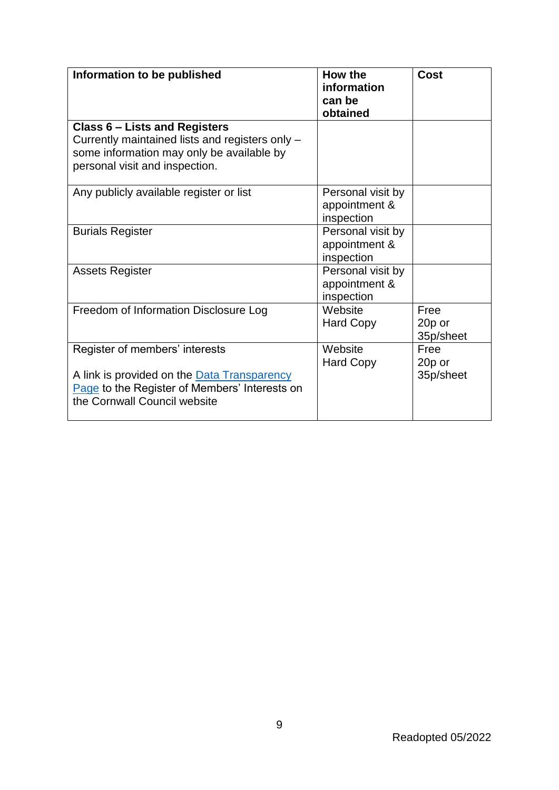| Information to be published                                                                                                                                            | <b>How the</b><br>information<br>can be<br>obtained | <b>Cost</b>                 |
|------------------------------------------------------------------------------------------------------------------------------------------------------------------------|-----------------------------------------------------|-----------------------------|
| <b>Class 6 - Lists and Registers</b><br>Currently maintained lists and registers only -<br>some information may only be available by<br>personal visit and inspection. |                                                     |                             |
| Any publicly available register or list                                                                                                                                | Personal visit by<br>appointment &<br>inspection    |                             |
| <b>Burials Register</b>                                                                                                                                                | Personal visit by<br>appointment &<br>inspection    |                             |
| <b>Assets Register</b>                                                                                                                                                 | Personal visit by<br>appointment &<br>inspection    |                             |
| Freedom of Information Disclosure Log                                                                                                                                  | Website<br><b>Hard Copy</b>                         | Free<br>20p or<br>35p/sheet |
| Register of members' interests<br>A link is provided on the Data Transparency<br>Page to the Register of Members' Interests on<br>the Cornwall Council website         | Website<br><b>Hard Copy</b>                         | Free<br>20p or<br>35p/sheet |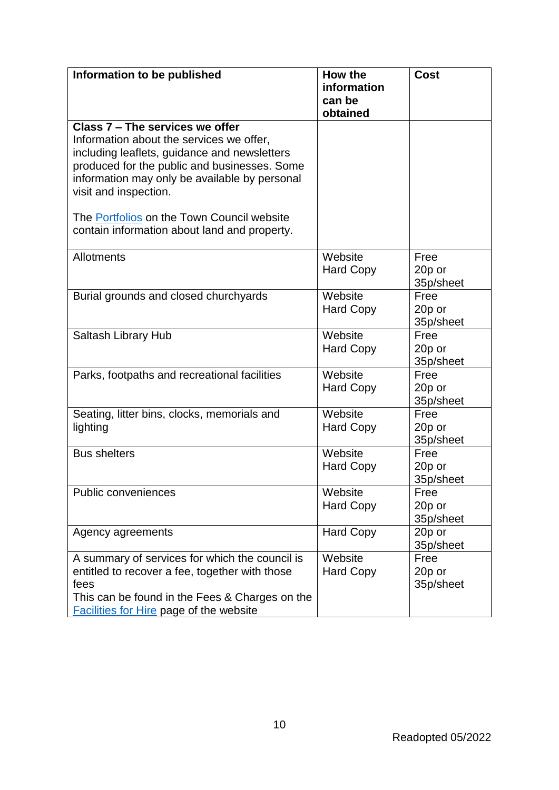| Information to be published                                                                                                                                                                                                                                                                                                                         | How the<br>information<br>can be<br>obtained | <b>Cost</b>                 |
|-----------------------------------------------------------------------------------------------------------------------------------------------------------------------------------------------------------------------------------------------------------------------------------------------------------------------------------------------------|----------------------------------------------|-----------------------------|
| Class 7 - The services we offer<br>Information about the services we offer,<br>including leaflets, guidance and newsletters<br>produced for the public and businesses. Some<br>information may only be available by personal<br>visit and inspection.<br>The Portfolios on the Town Council website<br>contain information about land and property. |                                              |                             |
| Allotments                                                                                                                                                                                                                                                                                                                                          | Website<br><b>Hard Copy</b>                  | Free<br>20p or<br>35p/sheet |
| Burial grounds and closed churchyards                                                                                                                                                                                                                                                                                                               | Website<br><b>Hard Copy</b>                  | Free<br>20p or<br>35p/sheet |
| Saltash Library Hub                                                                                                                                                                                                                                                                                                                                 | Website<br><b>Hard Copy</b>                  | Free<br>20p or<br>35p/sheet |
| Parks, footpaths and recreational facilities                                                                                                                                                                                                                                                                                                        | Website<br><b>Hard Copy</b>                  | Free<br>20p or<br>35p/sheet |
| Seating, litter bins, clocks, memorials and<br>lighting                                                                                                                                                                                                                                                                                             | Website<br><b>Hard Copy</b>                  | Free<br>20p or<br>35p/sheet |
| <b>Bus shelters</b>                                                                                                                                                                                                                                                                                                                                 | Website<br><b>Hard Copy</b>                  | Free<br>20p or<br>35p/sheet |
| Public conveniences                                                                                                                                                                                                                                                                                                                                 | Website<br><b>Hard Copy</b>                  | Free<br>20p or<br>35p/sheet |
| Agency agreements                                                                                                                                                                                                                                                                                                                                   | <b>Hard Copy</b>                             | 20p or<br>35p/sheet         |
| A summary of services for which the council is<br>entitled to recover a fee, together with those<br>fees<br>This can be found in the Fees & Charges on the<br><b>Facilities for Hire page of the website</b>                                                                                                                                        | Website<br><b>Hard Copy</b>                  | Free<br>20p or<br>35p/sheet |